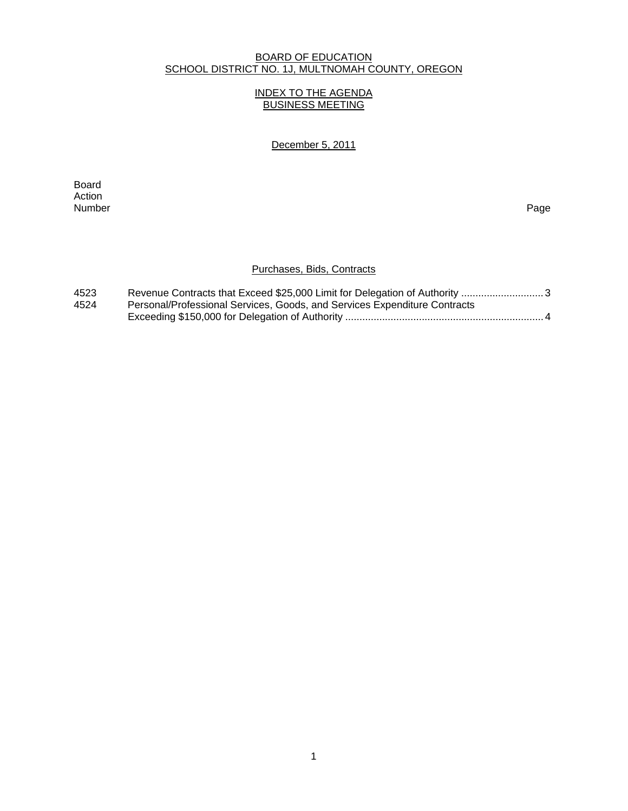### BOARD OF EDUCATION SCHOOL DISTRICT NO. 1J, MULTNOMAH COUNTY, OREGON

#### INDEX TO THE AGENDA BUSINESS MEETING

December 5, 2011

**Board Board** Action Number Page

### Purchases, Bids, Contracts

| 4523 |                                                                           |
|------|---------------------------------------------------------------------------|
| 4524 | Personal/Professional Services, Goods, and Services Expenditure Contracts |
|      |                                                                           |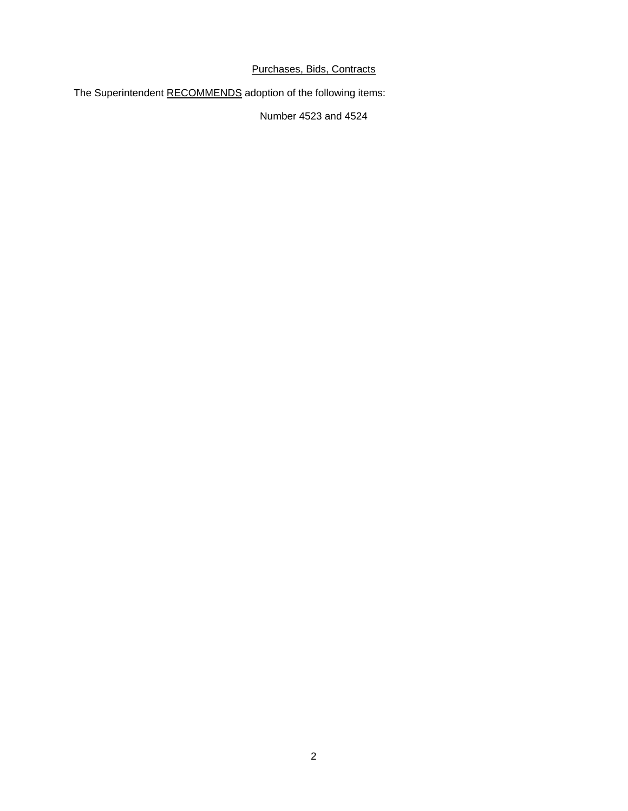# Purchases, Bids, Contracts

The Superintendent RECOMMENDS adoption of the following items:

Number 4523 and 4524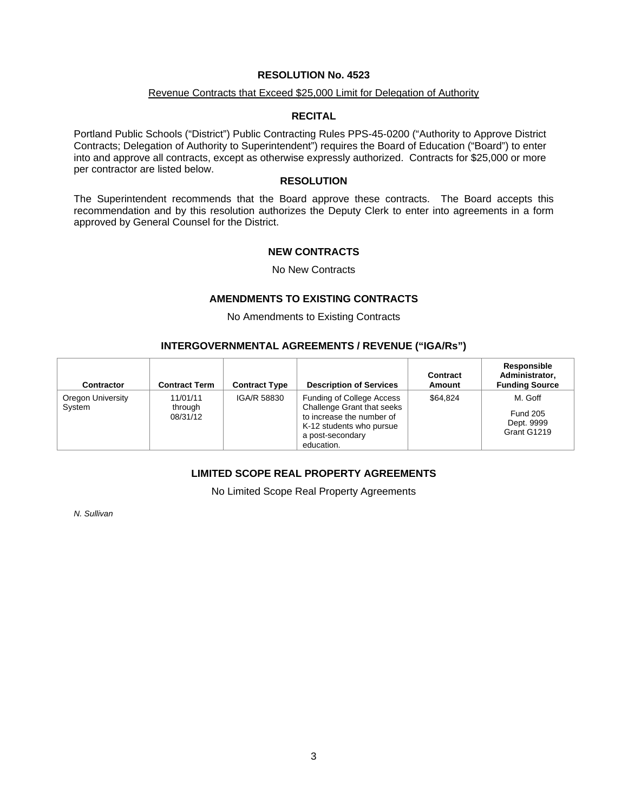#### **RESOLUTION No. 4523**

#### Revenue Contracts that Exceed \$25,000 Limit for Delegation of Authority

#### **RECITAL**

Portland Public Schools ("District") Public Contracting Rules PPS-45-0200 ("Authority to Approve District Contracts; Delegation of Authority to Superintendent") requires the Board of Education ("Board") to enter into and approve all contracts, except as otherwise expressly authorized. Contracts for \$25,000 or more per contractor are listed below.

#### **RESOLUTION**

The Superintendent recommends that the Board approve these contracts. The Board accepts this recommendation and by this resolution authorizes the Deputy Clerk to enter into agreements in a form approved by General Counsel for the District.

#### **NEW CONTRACTS**

No New Contracts

# **AMENDMENTS TO EXISTING CONTRACTS**

No Amendments to Existing Contracts

#### **INTERGOVERNMENTAL AGREEMENTS / REVENUE ("IGA/Rs")**

| Contractor                  | <b>Contract Term</b>            | <b>Contract Type</b> | <b>Description of Services</b>                                                                                                                     | Contract<br>Amount | Responsible<br>Administrator,<br><b>Funding Source</b>  |
|-----------------------------|---------------------------------|----------------------|----------------------------------------------------------------------------------------------------------------------------------------------------|--------------------|---------------------------------------------------------|
| Oregon University<br>System | 11/01/11<br>through<br>08/31/12 | IGA/R 58830          | Funding of College Access<br>Challenge Grant that seeks<br>to increase the number of<br>K-12 students who pursue<br>a post-secondary<br>education. | \$64.824           | M. Goff<br><b>Fund 205</b><br>Dept. 9999<br>Grant G1219 |

# **LIMITED SCOPE REAL PROPERTY AGREEMENTS**

No Limited Scope Real Property Agreements

*N. Sullivan*